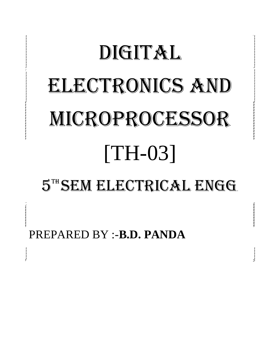# DIGITAL ELECTRONICS AND MICROPROCESSOR [TH-03] 5TH SEM ELECTRICAL ENGG.

PREPARED BY :-**B.D. PANDA**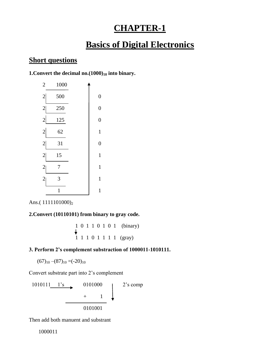# **CHAPTER-1**

# **Basics of Digital Electronics**

# **Short questions**

**1.Convert the decimal no.(1000)<sup>10</sup> into binary.**

| $\overline{c}$ | 1000         |                  |
|----------------|--------------|------------------|
| $\overline{c}$ | 500          | $\boldsymbol{0}$ |
| $\overline{2}$ | 250          | $\boldsymbol{0}$ |
| $\overline{c}$ | 125          | $\overline{0}$   |
| $\overline{2}$ | 62           | $\mathbf{1}$     |
| $\overline{c}$ | 31           | $\boldsymbol{0}$ |
| $\overline{c}$ | 15           | $\mathbf{1}$     |
| $\overline{c}$ | 7            | $\mathbf{1}$     |
| $\overline{c}$ | 3            | $\mathbf 1$      |
|                | $\mathbf{1}$ | $\mathbf{1}$     |

Ans.(1111101000)<sub>2</sub>

#### **2.Convert (10110101) from binary to gray code.**

$$
\begin{array}{cccccc}\n1 & 0 & 1 & 1 & 0 & 1 & 0 & 1 & \text{(binary)} \\
\downarrow & & & & & & \\
1 & 1 & 1 & 0 & 1 & 1 & 1 & 1 & \text{(gray)}\n\end{array}
$$

#### **3. Perform 2's complement substraction of 1000011-1010111.**

 $(67)_{10}$  – $(87)_{10}$  =(-20)<sub>10</sub>

Convert substrate part into 2"s complement



Then add both manuent and substrant

1000011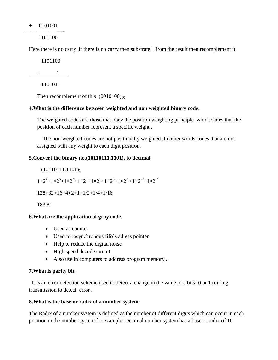+ 0101001

1101100

Here there is no carry , if there is no carry then substrate 1 from the result then recomplement it.

1101100

- 1

1101011

Then recomplement of this  $(0010100)_{10}$ 

#### **4.What is the difference between weighted and non weighted binary code.**

The weighted codes are those that obey the position weighting principle ,which states that the position of each number represent a specific weight .

 The non-weighted codes are not positionally weighted .In other words codes that are not assigned with any weight to each digit position.

#### **5.Convert the binary no.(10110111.1101)2 to decimal.**

 $(10110111.1101)_2$  $1 \times 2^7 + 1 \times 2^5 + 1 \times 2^4 + 1 \times 2^2 + 1 \times 2^1 + 1 \times 2^0 + 1 \times 2^{-1} + 1 \times 2^{-2} + 1 \times 2^{-4}$ 128+32+16+4+2+1+1/2+1/4+1/16

183.81

#### **6.What are the application of gray code.**

- Used as counter
- Used for asynchronous fifo's adress pointer
- Help to reduce the digital noise
- High speed decode circuit
- Also use in computers to address program memory .

#### **7.What is parity bit.**

 It is an error detection scheme used to detect a change in the value of a bits (0 or 1) during transmission to detect error .

#### **8.What is the base or radix of a number system.**

The Radix of a number system is defined as the number of different digits which can occur in each position in the number system for example :Decimal number system has a base or radix of 10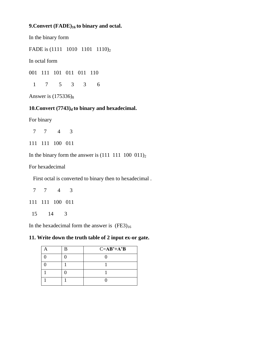#### **9.Convert (FADE)16 to binary and octal.**

In the binary form

FADE is (1111 1010 1101 1110)<sub>2</sub>

In octal form

001 111 101 011 011 110

1 7 5 3 3 6

Answer is  $(175336)_8$ 

#### **10.Convert (7743)d to binary and hexadecimal.**

For binary

7 7 4 3

111 111 100 011

In the binary form the answer is  $(111 \t111 \t100 \t011)_2$ 

For hexadecimal

First octal is converted to binary then to hexadecimal .

7 7 4 3

111 111 100 011

15 14 3

In the hexadecimal form the answer is  $(FE3)_{16}$ 

#### **11. Write down the truth table of 2 input ex-or gate.**

|  | $C = AB' + A'B$ |
|--|-----------------|
|  |                 |
|  |                 |
|  |                 |
|  |                 |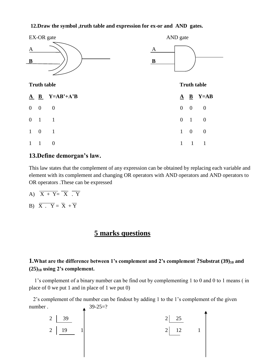#### **12.Draw the symbol ,truth table and expression for ex-or and AND gates.**



# **13.Define demorgan's law.**

This law states that the complement of any expression can be obtained by replacing each variable and element with its complement and changing OR operators with AND operators and AND operators to OR operators .These can be expressed

- A)  $\overline{X + Y} = \overline{X} \cdot \overline{Y}$
- B)  $\overline{X} \cdot \overline{Y} = \overline{X} + \overline{Y}$

# **5 marks questions**

# **1.What are the difference between 1's complement and 2's complement ?Substrat (39)<sup>10</sup> and (25)<sup>10</sup> using 2's complement.**

 1"s complement of a binary number can be find out by complementing 1 to 0 and 0 to 1 means ( in place of 0 we put 1 and in place of 1 we put 0)

 2"s complement of the number can be findout by adding 1 to the 1"s complement of the given number . 39-25=?

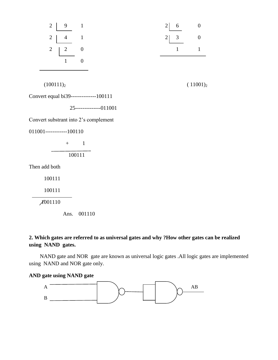

## **2. Which gates are referred to as universal gates and why ?How other gates can be realized using NAND gates.**

 NAND gate and NOR gate are known as universal logic gates .All logic gates are implemented using NAND and NOR gate only.

#### **AND gate using NAND gate**

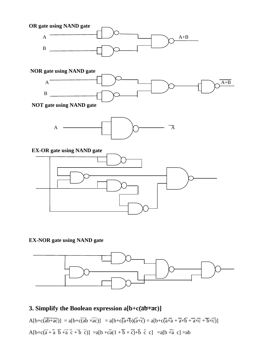

**EX-NOR gate using NAND gate**



# **3. Simplify the Boolean expression a[b+c(ab+ac)]**

 $A[b+c(\overline{ab+ac})] = a[b+c(\overline{ab} \times \overline{ac})] = a[b+c(\overline{a+b})(\overline{a+c}) = a[b+c(\overline{a} \times \overline{a} + \overline{a} \times \overline{b} + \overline{a} \times \overline{c} + \overline{b} \times \overline{c})]$  $A[b+c\overline{a}+\overline{a} \ \overline{b}+\overline{a} \ \overline{c}+\overline{b} \ \overline{c})] = a[b+c\overline{a}(1+\overline{b}+\overline{c})+\overline{b} \ \overline{c} \ \overline{c}] = a[b+\overline{a} \ \overline{c}]=ab$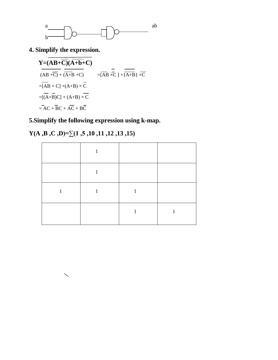

**4. Simplify the expression.**

$$
Y=(AB+\overline{C})(\overline{A+b}+C)
$$
  
\n
$$
\overline{(AB+\overline{C})}+\overline{(A+B+C)}
$$
\n
$$
=[\overline{AB}\times C]+(A+B)\times\overline{C}
$$
\n
$$
=[(\overline{A}+\overline{B})C]+(\overline{A}+\overline{B})\times\overline{C}
$$
\n
$$
=[(\overline{A}+\overline{B})C]+(\overline{A}+\overline{B})\times\overline{C}
$$
\n
$$
=\overline{AC}+\overline{BC}+\overline{AC}+\overline{BC}
$$

**5.Simplify the following expression using k-map.**

# **Y(A ,B ,C ,D)=∑(1 ,5 ,10 ,11 ,12 ,13 ,15)**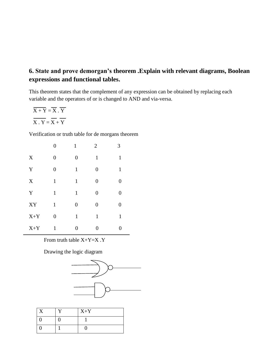# **6. State and prove demorgan's theorem .Explain with relevant diagrams, Boolean expressions and functional tables.**

This theorem states that the complement of any expression can be obtained by replacing each variable and the operators of or is changed to AND and via-versa.

$$
\overline{X+Y} = \overline{X} \cdot \overline{Y}
$$

$$
\overline{X \cdot Y} = \overline{X} + \overline{Y}
$$

Verification or truth table for de morgans theorem

|             | $\overline{0}$   | 1                | $\overline{2}$ | 3                |
|-------------|------------------|------------------|----------------|------------------|
| X           | $\boldsymbol{0}$ | $\boldsymbol{0}$ | $\mathbf{1}$   | $\mathbf{1}$     |
| Y           | $\overline{0}$   | $\mathbf{1}$     | $\overline{0}$ | $\mathbf{1}$     |
| $\mathbf X$ | $\mathbf{1}$     | $\mathbf{1}$     | $\overline{0}$ | $\boldsymbol{0}$ |
| Y           | $\mathbf{1}$     | $\mathbf{1}$     | $\overline{0}$ | $\boldsymbol{0}$ |
| ${\bf XY}$  | $\mathbf{1}$     | $\overline{0}$   | $\overline{0}$ | $\overline{0}$   |
| $X+Y$       | $\overline{0}$   | $\mathbf{1}$     | $\mathbf{1}$   | $\mathbf{1}$     |
| $X+Y$       | $\mathbf{1}$     | $\overline{0}$   | 0              | $\overline{0}$   |

From truth table X+Y=X .Y

Drawing the logic diagram



| r T | $X+Y$ |
|-----|-------|
|     |       |
|     |       |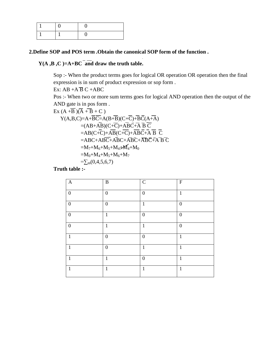#### **2.Define SOP and POS term .Obtain the canonical SOP form of the function .**

## $Y(A, B, C) = A + BC$  and draw the truth table.

Sop :- When the product terms goes for logical OR operation OR operation then the final expression is in sum of product expression or sop form .

Ex:  $AB + AB C + ABC$ 

Pos :- When two or more sum terms goes for logical AND operation then the output of the AND gate is in pos form .

$$
\begin{aligned}\n\text{Ex (A +B)(A +B +C)} \\
&Y(A,B,C)=A+B\overline{C}=A(B+\overline{B})(C+\overline{C})+\overline{B}\overline{C}(A+\overline{A}) \\
&=(AB+A\overline{B})(C+\overline{C})+A\overline{B}\overline{C}+\overline{A}\ \overline{B}\ \overline{C} \\
&=AB(C+\overline{C})+A\overline{B}(C+\overline{C})+A\overline{B}\overline{C}+\overline{A}\ \overline{B}\ \overline{C} \\
&=ABC+AB\overline{C}+A\overline{B}C+A\overline{B}\overline{C}+AB\overline{C}+\overline{A}\ \overline{B}\ \overline{C} \\
&=M_7+M_6+M_5+M_4+A_6+M_7 \\
&=\sum_{m(0,4,5,6,7)}\n\end{aligned}
$$

**Truth table :-**

| $\mathbf{A}$     | $\, {\bf B}$     | $\mathsf C$      | $\mathbf F$      |
|------------------|------------------|------------------|------------------|
| $\overline{0}$   | $\mathbf{0}$     | $\boldsymbol{0}$ | $\mathbf{1}$     |
| $\overline{0}$   | $\boldsymbol{0}$ | $\mathbf{1}$     | $\boldsymbol{0}$ |
| $\boldsymbol{0}$ | $\mathbf{1}$     | $\boldsymbol{0}$ | $\boldsymbol{0}$ |
| $\overline{0}$   | $\mathbf{1}$     | $\mathbf{1}$     | $\overline{0}$   |
| $\mathbf{1}$     | $\mathbf{0}$     | $\boldsymbol{0}$ | $\mathbf{1}$     |
| $\mathbf{1}$     | $\mathbf{0}$     | $\mathbf{1}$     | $\mathbf{1}$     |
| $\mathbf{1}$     | $\mathbf{1}$     | $\boldsymbol{0}$ | $\mathbf{1}$     |
| $\mathbf{1}$     | $\mathbf{1}$     | $\mathbf{1}$     | $\mathbf{1}$     |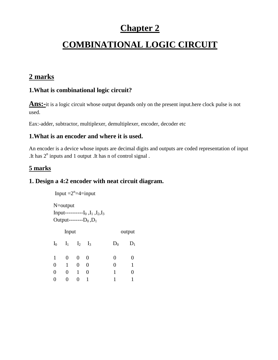# **Chapter 2**

# **COMBINATIONAL LOGIC CIRCUIT**

# **2 marks**

# **1.What is combinational logic circuit?**

**Ans:**-it is a logic circuit whose output depands only on the present input.here clock pulse is not used.

Eax:-adder, subtractor, multiplexer, demultiplexer, encoder, decoder etc

## **1.What is an encoder and where it is used.**

An encoder is a device whose inputs are decimal digits and outputs are coded representation of input .It has  $2<sup>n</sup>$  inputs and 1 output .It has n of control signal.

# **5 marks**

## **1. Design a 4:2 encoder with neat circuit diagram.**

```
Input =2^{n}=4=input
         N=output
          Input----------I0 ,I1 ,I2,I3
```
Output-------- $D_0$ , $D_1$ 

| Input        |                 |                   |                |       | output |
|--------------|-----------------|-------------------|----------------|-------|--------|
| ${\rm I_0}$  |                 | $I_1$ $I_2$ $I_3$ |                | $D_0$ | $D_1$  |
| $\mathbf{1}$ | $\vert 0 \vert$ | $\overline{0}$    | $\overline{0}$ | 0     |        |
| 0            | 1               | $\overline{0}$    | $\overline{0}$ | 0     | 1      |
| 0            | $\theta$        | 1                 | 0              | 1     |        |
| 0            | $\theta$        | 0                 | 1              | 1     |        |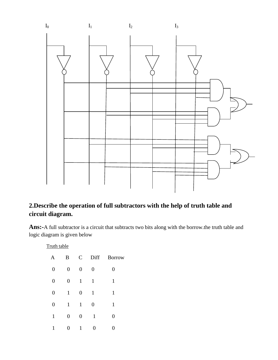

# **2.Describe the operation of full subtractors with the help of truth table and circuit diagram.**

**Ans:-**A full subtractor is a circuit that subtracts two bits along with the borrow.the truth table and logic diagram is given below

Truth table

| A                | $\mathbf{B}$     | $\mathbf C$      | Diff             | <b>Borrow</b>  |
|------------------|------------------|------------------|------------------|----------------|
| $\boldsymbol{0}$ | $\boldsymbol{0}$ | $\boldsymbol{0}$ | $\boldsymbol{0}$ | 0              |
| $\boldsymbol{0}$ | $\boldsymbol{0}$ | $\mathbf{1}$     | $\mathbf{1}$     | $\mathbf{1}$   |
| $\boldsymbol{0}$ | $\mathbf{1}$     | $\boldsymbol{0}$ | $\mathbf{1}$     | $\mathbf{1}$   |
| $\boldsymbol{0}$ | $\mathbf{1}$     | $\mathbf{1}$     | $\boldsymbol{0}$ | $\mathbf{1}$   |
| 1                | $\boldsymbol{0}$ | $\overline{0}$   | 1                | $\overline{0}$ |
| 1                | 0                | 1                | 0                | 0              |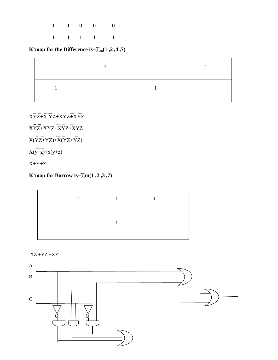1 1 0 0 0

1 1 1 1 1

**K'map for the Difference is=∑m(1 ,2 ,4 ,7)**

 $\mathbf{X}\mathbf{\bar{Y}}\mathbf{\bar{Z}}\mathbf{+}\mathbf{\bar{X}}\ \mathbf{\bar{Y}}\mathbf{Z} \mathbf{+}\mathbf{X}\mathbf{Y}\mathbf{Z}\mathbf{\bar{+X}}\mathbf{\bar{Y}}\mathbf{\bar{Z}}$ 

 $\widehat{\mathbf{XYZ}} + \mathbf{XYZ} + \mathbf{\overline{XYZ}} + \mathbf{\overline{XYZ}} + \mathbf{\overline{XYZ}} + \mathbf{\overline{XYZ}} + \mathbf{\overline{XYZ}} + \mathbf{\overline{XYZ}} + \mathbf{\overline{XYZ}} + \mathbf{\overline{XYZ}} + \mathbf{\overline{XYZ}} + \mathbf{\overline{XYZ}} + \mathbf{\overline{XYZ}} + \mathbf{\overline{XYZ}} + \mathbf{\overline{XYZ}} + \mathbf{\overline{XYZ}} + \mathbf{\overline{XYZ}} + \mathbf{\overline{XYZ}} + \mathbf{\overline{XYZ}} + \mathbf{\overline{X}} + \mathbf{\overline{X}} + \mathbf{\overline{X}} + \mathbf$ 

 $\bar{X(YZ+YZ)} + \bar{X(YZ} + \bar{YZ})$ 

 $X(y+z)+X(y+z)$ 

 $X+Y+Z$ 

**K'map for Borrow is=∑m(1 ,2 ,3 ,7)**

XZ +YZ +XZ

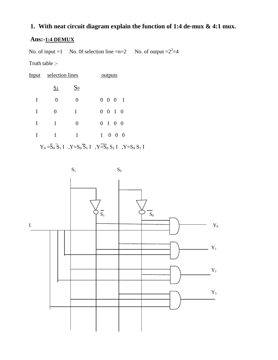# **1. With neat circuit diagram explain the function of 1:4 de-mux & 4:1 mux.**

# **Ans:-1:4 DEMUX**

No. of input =1 No. 0f selection line =n=2 No. of output = $2^2$ =4

Truth table :-

| <u>Input</u> | selection lines |                | <u>outputs</u>              |
|--------------|-----------------|----------------|-----------------------------|
|              | S <sub>1</sub>  | S <sub>0</sub> |                             |
| I            | $\overline{0}$  | $\overline{0}$ | $0 \t 0 \t 0 \t 1$          |
| I            | 0               | 1              | $0 \t0 \t1 \t0$             |
| I            | 1               | $\overline{0}$ | $0 \t1 \t0 \t0$             |
| I            | 1               | 1              | $1 \quad 0 \quad 0 \quad 0$ |
|              |                 |                |                             |

 $\mathbf{Y}_0 = \mathbf{\overline{S}}_0 \mathbf{\overline{S}}_1 \mathbf{I}$  ,  $\mathbf{Y} = \mathbf{S}_0 \mathbf{\overline{S}}_1 \mathbf{I}$  ,  $\mathbf{Y} = \mathbf{\overline{S}}_0 \mathbf{S}_1 \mathbf{I}$  ,  $\mathbf{Y} = \mathbf{S}_0 \mathbf{S}_1 \mathbf{I}$ 

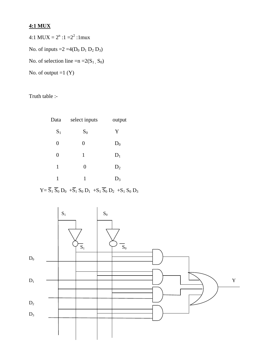# **4:1 MUX**

4:1 MUX =  $2^{n}$  :1 =  $2^{2}$  :1 mux No. of inputs  $=2 = 4(D_0 D_1 D_2 D_3)$ No. of selection line  $=n = 2(S_1, S_0)$ 

No. of output  $=1$   $(Y)$ 

Truth table :-

| Data           | select inputs    | output |
|----------------|------------------|--------|
| $S_1$          | $S_0$            | Y      |
| 0              | $\overline{0}$   | $D_0$  |
| $\overline{0}$ | $\mathbf{1}$     | $D_1$  |
| 1              | $\boldsymbol{0}$ | $D_2$  |
| 1              | 1                | $D_3$  |

 $Y = \overline{S}_1 \overline{S}_0 D_0 + \overline{S}_1 S_0 D_1 + S_1 \overline{S}_0 D_2 + S_1 S_0 D_3$ 

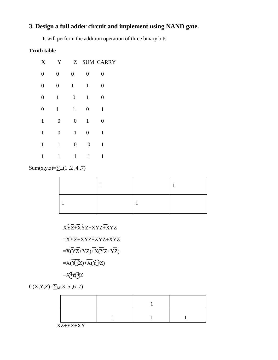# **3. Design a full adder circuit and implement using NAND gate.**

It will perform the addition operation of three binary bits

## **Truth table**

| $\mathbf X$      | Y                | Z                |                  | <b>SUM CARRY</b> |
|------------------|------------------|------------------|------------------|------------------|
| $\boldsymbol{0}$ | $\boldsymbol{0}$ | $\boldsymbol{0}$ | $\boldsymbol{0}$ | $\overline{0}$   |
| $\boldsymbol{0}$ | $\boldsymbol{0}$ | $\mathbf{1}$     | $\mathbf{1}$     | $\boldsymbol{0}$ |
| $\boldsymbol{0}$ | $\mathbf{1}$     | $\boldsymbol{0}$ | $\mathbf{1}$     | $\boldsymbol{0}$ |
| $\boldsymbol{0}$ | $\mathbf{1}$     | $\mathbf{1}$     | $\boldsymbol{0}$ | 1                |
| $\mathbf{1}$     | $\boldsymbol{0}$ | $\boldsymbol{0}$ | $\mathbf{1}$     | $\boldsymbol{0}$ |
| $\mathbf{1}$     | $\boldsymbol{0}$ | $\mathbf{1}$     | $\boldsymbol{0}$ | $\mathbf{1}$     |
| $\mathbf{1}$     | $\mathbf{1}$     | $\boldsymbol{0}$ | $\boldsymbol{0}$ | 1                |
| $\mathbf{1}$     | 1                | $\mathbf{1}$     | 1                | 1                |

Sum(x,y,z)= $\sum_{m}$ (1,2,4,7)

 XYZ+XYZ+XYZ+XYZ  $=X\overline{YZ}+XYZ+\overline{X}\overline{YZ}+\overline{X}YZ$  $=\overline{X(YZ+YZ)}+\overline{X(YZ+YZ)}$  $=X(\overline{Y})+X(\overline{Y})Z$ 

$$
=\!\!\!\!\!\!X\!\!\!\!\!/\!\!\!\!\!-\!\!\!\!\!X\!\!\!\!\!/\!\!\!\!\!-\!\!\!\!\!X\!\!\!\!\!-\!\!\!\!\!X\!\!\!\!\!-\!\!\!\!\!X\!\!\!\!\!-\!\!\!\!X\!\!\!\!\!-\!\!\!\!X\!\!\!\!\!-\!\!\!\!X\!\!\!\!\!-\!\!\!\!X\!\!\!\!\!-\!\!\!\!X\!\!\!\!\!-\!\!\!\!X\!\!\!\!-\!\!\!\!X\!\!\!\!-\!\!\!\!X\!\!\!\!-\!\!\!\!X\!\!\!\!-\!\!\!\!X\!\!\!\!-\!\!\!\!X\!\!\!\!-\!\!\!\!X\!\!\!\!-\!\!\!\!X\!\!\!\!-\!\!\!\!X\!\!\!\!X\!\!\!\!-\!\!\!\!X\!\!\!\!X\!\!\!\!-\!\!\!\!X\!\!\!\!X\!\!\!\!X\!\!\!\!X\!\!\!\!X\!\!\!\!X\!\!\!\!X\!\!\!\!X\!\!\!\!X\!\!\!X\!\!\!X\!\!\!X\!\!\!X\!\!\!X\!\!\!X\!\!\!X\!\!\!X\!\!\!X\!\!\!X\!\!\!X\!\!\!X\!\!\!X\!\!\!X\!\!\!X\!\!\!X\!\!\!X\!\!\!X\!\!\!X\!\!\!X\!\!\!X\!\!\!X\!\!\!X\!\!\!X\!\!\!X\!\!\!X\!\!\!X\!\!\!X\!\!\!X\!\!\!X\!\!\!X\!\!\!X\!\!\!X\!\!\!X\!\!\!X\!\!\!X\!\!\!X\!\!\!X\!\!\!X\!\!\!X\!\!\!X\!\!\!X\!\!\!X\!\!\!X\!\!\!X\!\!\!X\!\!\!X\!\!\!X\!\!\!X\!\!\!X\!\!\!X\!\!\!X\!\!\!X\!\!\!X\!\!\!X\!\!\!X\!\!\!X\!\!\!X\!\!\!X\!\!\!X\!\!\!X\!\!\!X\!\!\!X\!\!\!X\!\!\!X\!\!\!X\!\!\!X\!\!\!X\!\!\!X\!\!\!X\!\!\!X\!\!\!X\!\!\!X\!\!\!X\!\!\!X\!\!\!X\!\!\!X\!\!\!X\!\!\!X\!\!\!X\!\!\!X\!\!\!X\!\!\!X\!\!\!X\!\!\!X\!\!\!X\!\!\!X\!\!\!X\!\!\!X
$$

 $C(X,Y,Z)=\sum_{M}(3,5,6,7)$ 

XZ+YZ+XY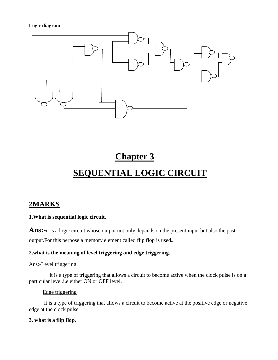#### **Logic diagram**



# **Chapter 3**

# **SEQUENTIAL LOGIC CIRCUIT**

# **2MARKS**

#### **1.What is sequential logic circuit.**

**Ans:-**it is a logic circuit whose output not only depands on the present input but also the past output.For this perpose a memory element called flip flop is used**.**

#### **2.what is the meaning of level triggering and edge triggering.**

#### Ans:-Level triggering

 It is a type of triggering that allows a circuit to become active when the clock pulse is on a particular level.i.e either ON or OFF level.

#### Edge triggering

 It is a type of triggering that allows a circuit to become active at the positive edge or negative edge at the clock pulse

#### **3. what is a flip flop.**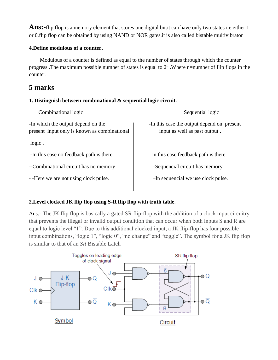**Ans:-**flip flop is a memory element that stores one digital bit.it can have only two states i.e either 1 or 0.flip flop can be obtained by using NAND or NOR gates.it is also called bistable multivibrator

#### **4.Define modulous of a counter.**

 Modulous of a counter is defined as equal to the number of states through which the counter progress .The maximum possible number of states is equal to  $2<sup>n</sup>$ . Where n=number of flip flops in the counter.

# **5 marks**

#### **1. Distinguish between combinational & sequential logic circuit.**

| Combinational logic                                                                | Sequential logic                                                            |
|------------------------------------------------------------------------------------|-----------------------------------------------------------------------------|
| -In which the output depend on the<br>present input only is known as combinational | -In this case the output depend on present<br>input as well as past output. |
| logic.                                                                             |                                                                             |
| -In this case no feedback path is there                                            | -In this case feedback path is there                                        |
| --Combinational circuit has no memory                                              | -Sequencial circuit has memory                                              |
| - -Here we are not using clock pulse.                                              | -In sequencial we use clock pulse.                                          |
|                                                                                    |                                                                             |

# **2.Level clocked JK flip flop using S-R flip flop with truth table**.

Ans:- The JK flip flop is basically a gated SR flip-flop with the addition of a clock input circuitry that prevents the illegal or invalid output condition that can occur when both inputs S and R are equal to logic level "1". Due to this additional clocked input, a JK flip-flop has four possible input combinations, "logic 1", "logic 0", "no change" and "toggle". The symbol for a JK flip flop is similar to that of an *SR* Bistable Latch

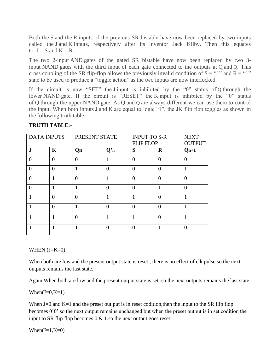Both the S and the R inputs of the previous SR bistable have now been replaced by two inputs called the J and K inputs, respectively after its inventor Jack Kilby. Then this equates to:  $J = S$  and  $K = R$ .

The two 2-input AND gates of the gated SR bistable have now been replaced by two 3 input NAND gates with the third input of each gate connected to the outputs at Q and Q. This cross coupling of the SR flip-flop allows the previously invalid condition of  $S = "1"$  and  $R = "1"$ state to be used to produce a "toggle action" as the two inputs are now interlocked.

If the circuit is now "SET" the J input is inhibited by the "0" status of Q through the lower NAND gate. If the circuit is "RESET" the K input is inhibited by the "0" status of Q through the upper NAND gate. As Q and Q are always different we can use them to control the input. When both inputs J and K are equal to logic "1", the JK flip flop toggles as shown in the following truth table.

| <b>DATA INPUTS</b> |             | PRESENT STATE  |          | <b>INPUT TO S-R</b> |                | <b>NEXT</b>   |
|--------------------|-------------|----------------|----------|---------------------|----------------|---------------|
|                    |             |                |          | <b>FLIP FLOP</b>    |                | <b>OUTPUT</b> |
| ${\bf J}$          | $\mathbf K$ | Qn             | Q'n      | S                   | $\bf{R}$       | $Qn+1$        |
| $\theta$           | $\theta$    | $\theta$       |          | $\Omega$            | $\overline{0}$ | $\Omega$      |
| $\theta$           | $\theta$    | $\mathbf{1}$   | $\Omega$ | $\theta$            | $\overline{0}$ | 1             |
| $\theta$           | 1           | $\overline{0}$ |          | $\Omega$            | $\overline{0}$ | $\Omega$      |
| $\theta$           |             | 1              | $\Omega$ | $\Omega$            | 1              | $\theta$      |
|                    | 0           | $\overline{0}$ |          |                     | $\theta$       |               |
|                    | $\theta$    | 1              | $\Omega$ | $\Omega$            | $\overline{0}$ | 1             |
|                    | 1           | $\theta$       | 1        | 1                   | $\theta$       | 1             |
|                    |             |                | $\Omega$ | $\Omega$            | 1              | 0             |

#### **TRUTH TABLE:-**

#### WHEN  $(J=K=0)$

When both are low and the present output state is reset , there is no effect of clk pulse.so the next outputs remains the last state.

Again When both are low and the present output state is set .so the next outputs remains the last state.

When $(J=0,K=1)$ 

When  $J=0$  and  $K=1$  and the preset out put is in reset codition, then the input to the SR flip flop becomes 0'0'.so the next output remains unchanged.but when the preset output is in set codition the input to SR flip flop becomes 0 & 1.so the next output goes reset.

When $(J=1,K=0)$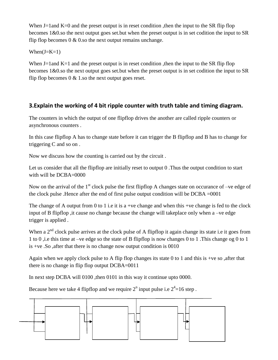When  $J=1$  and  $K=0$  and the preset output is in reset condition, then the input to the SR flip flop becomes 1&0.so the next output goes set.but when the preset output is in set codition the input to SR flip flop becomes  $0 \& 0$  so the next output remains unchange.

#### When $(J=K=1)$

When  $J=1$  and  $K=1$  and the preset output is in reset condition, then the input to the SR flip flop becomes 1&0.so the next output goes set.but when the preset output is in set codition the input to SR flip flop becomes  $0 \& 1$  so the next output goes reset.

# **3.Explain the working of 4 bit ripple counter with truth table and timing diagram.**

The counters in which the output of one flipflop drives the another are called ripple counters or asynchronous counters .

In this case flipflop A has to change state before it can trigger the B flipflop and B has to change for triggering C and so on .

Now we discuss how the counting is carried out by the circuit .

Let us consider that all the flipflop are initially reset to output 0. Thus the output condition to start with will be DCBA=0000

Now on the arrival of the  $1<sup>st</sup>$  clock pulse the first flipflop A changes state on occurance of –ve edge of the clock pulse .Hence after the end of first pulse output condition will be DCBA =0001

The change of A output from 0 to 1 i.e it is a +ve change and when this +ve change is fed to the clock input of B flipflop ,it cause no change because the change will takeplace only when a –ve edge trigger is applied .

When a 2<sup>nd</sup> clock pulse arrives at the clock pulse of A flipflop it again change its state i.e it goes from 1 to 0 ,i.e this time at –ve edge so the state of B flipflop is now changes 0 to 1 .This change og 0 to 1 is +ve .So ,after that there is no change now output condition is 0010

Again when we apply clock pulse to A flip flop changes its state 0 to 1 and this is +ve so ,after that there is no change in flip flop output DCBA=0011

In next step DCBA will 0100 ,then 0101 in this way it continue upto 0000.

Because here we take 4 flipflop and we require  $2^n$  input pulse i.e  $2^4$ =16 step.

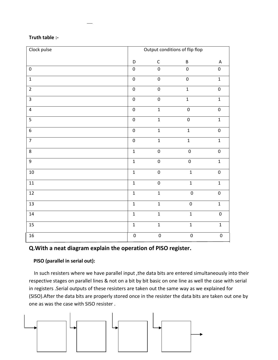| Truth table :- |  |  |  |
|----------------|--|--|--|
|----------------|--|--|--|

| Clock pulse             | Output conditions of flip flop |                  |                  |                  |
|-------------------------|--------------------------------|------------------|------------------|------------------|
|                         | D                              | $\mathsf C$      | $\sf B$          | $\mathsf A$      |
| $\boldsymbol{0}$        | $\boldsymbol{0}$               | $\mathbf 0$      | $\mathbf 0$      | $\pmb{0}$        |
| $\overline{1}$          | $\pmb{0}$                      | $\pmb{0}$        | $\mathbf 0$      | $\mathbf 1$      |
| $\overline{2}$          | $\mathbf 0$                    | $\mathbf 0$      | $\overline{1}$   | $\mathbf 0$      |
| $\overline{3}$          | $\boldsymbol{0}$               | $\mathbf 0$      | $\overline{1}$   | $\mathbf{1}$     |
| $\overline{\mathbf{4}}$ | $\pmb{0}$                      | $\mathbf 1$      | $\pmb{0}$        | $\boldsymbol{0}$ |
| 5                       | $\boldsymbol{0}$               | $\mathbf 1$      | $\pmb{0}$        | $\mathbf 1$      |
| $\boldsymbol{6}$        | $\pmb{0}$                      | $\mathbf 1$      | $\mathbf 1$      | $\pmb{0}$        |
| $\overline{7}$          | $\boldsymbol{0}$               | $\mathbf 1$      | $\mathbf 1$      | $\mathbf 1$      |
| 8                       | $\mathbf 1$                    | $\pmb{0}$        | $\boldsymbol{0}$ | $\boldsymbol{0}$ |
| 9                       | $\mathbf{1}$                   | $\pmb{0}$        | $\boldsymbol{0}$ | $\mathbf{1}$     |
| $10\,$                  | $\mathbf 1$                    | $\pmb{0}$        | $\mathbf 1$      | $\pmb{0}$        |
| $11\,$                  | $\mathbf 1$                    | $\pmb{0}$        | $\mathbf 1$      | $\mathbf 1$      |
| $12\,$                  | $\mathbf{1}$                   | $\mathbf{1}$     | $\boldsymbol{0}$ | $\pmb{0}$        |
| $13\,$                  | $\mathbf 1$                    | $\mathbf 1$      | $\pmb{0}$        | $\mathbf 1$      |
| $14\,$                  | $\overline{1}$                 | $\mathbf{1}$     | $\overline{1}$   | $\pmb{0}$        |
| 15                      | $\mathbf 1$                    | $\mathbf 1$      | $\mathbf 1$      | $\mathbf 1$      |
| 16                      | $\pmb{0}$                      | $\boldsymbol{0}$ | $\boldsymbol{0}$ | $\pmb{0}$        |

# **Q.With a neat diagram explain the operation of PISO register.**

#### **PISO (parallel in serial out):**

 In such resisters where we have parallel input ,the data bits are entered simultaneously into their respective stages on parallel lines & not on a bit by bit basic on one line as well the case with serial in registers .Serial outputs of these resisters are taken out the same way as we explained for (SISO).After the data bits are properly stored once in the resister the data bits are taken out one by one as was the case with SISO resister .

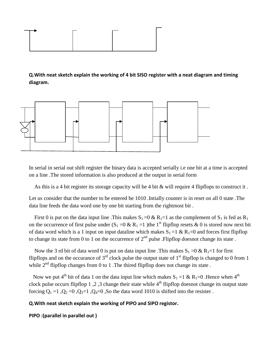

**Q.With neat sketch explain the working of 4 bit SISO register with a neat diagram and timing diagram.**



In serial in serial out shift register the binary data is accepted serially i.e one bit at a time is accepted on a line .The stored information is also produced at the output in serial form

As this is a 4 bit register its storage capacity will be 4 bit & will require 4 flipflops to construct it .

Let us consider that the number to be entered be 1010 .Intially counter is in reset on all 0 state .The data line feeds the data word one by one bit starting from the rightmost bit .

First 0 is put on the data input line. This makes  $S_1 = 0 \& R_1 = 1$  as the complement of  $S_1$  is fed as  $R_1$ on the occurrence of first pulse under  $(S_1 = 0 \& R_1 = 1)$ the 1<sup>st</sup> flipflop resets & 0 is stored now next bit of data word which is a 1 input on input dataline which makes  $S_1 = 1 \& R_1 = 0$  and forces first flipflop to change its state from 0 to 1 on the occurrence of  $2<sup>nd</sup>$  pulse . Flipflop doesnot change its state.

Now the 3 rd bit of data word 0 is put on data input line. This makes  $S_1 = 0 \& R_1 = 1$  for first flipflops and on the occurance of  $3<sup>rd</sup>$  clock pulse the output state of  $1<sup>st</sup>$  flipflop is changed to 0 from 1 while  $2<sup>nd</sup>$  flipflop changes from 0 to 1. The thired flipflop does not change its state.

Now we put 4<sup>th</sup> bit of data 1 on the data input line which makes  $S_1 = 1 \& R_1 = 0$ . Hence when 4<sup>th</sup> clock pulse occurs flipflop 1,2,3 change their state while  $4<sup>th</sup>$  flipflop doesnot change its output state forcing  $Q_1 = 1$ ,  $Q_2 = 0$ ,  $Q_3 = 1$ ,  $Q_4 = 0$ , So the data word 1010 is shifted into the resister.

#### **Q.With neat sketch explain the working of PIPO and SIPO registor.**

```
PIPO :(parallel in parallel out )
```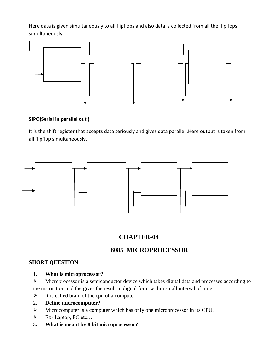Here data is given simultaneously to all flipflops and also data is collected from all the flipflops simultaneously .



#### **SIPO(Serial in parallel out )**

It is the shift register that accepts data seriously and gives data parallel .Here output is taken from all flipflop simultaneously.



# **CHAPTER-04**

# **8085 MICROPROCESSOR**

#### **SHORT QUESTION**

**1. What is microprocessor?**

 Microprocessor is a semiconductor device which takes digital data and processes according to the instruction and the gives the result in digital form within small interval of time.

- $\triangleright$  It is called brain of the cpu of a computer.
- **2. Define microcomputer?**
- Microcomputer is a computer which has only one microprocessor in its CPU.
- $\triangleright$  Ex-Laptop, PC etc....
- **3. What is meant by 8 bit microprocessor?**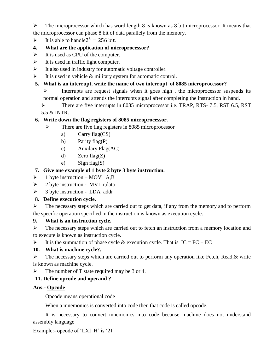$\triangleright$  The microprocessor which has word length 8 is known as 8 bit microprocessor. It means that the microprocessor can phase 8 bit of data parallely from the memory.

- $\triangleright$  It is able to handle 2<sup>8</sup> = 256 bit.
- **4. What are the application of microprocessor?**
- $\triangleright$  It is used as CPU of the computer.
- $\blacktriangleright$  It is used in traffic light computer.
- $\triangleright$  It also used in industry for automatic voltage controller.
- $\triangleright$  It is used in vehicle & military system for automatic control.
- **5. What is an interrupt, write the name of two interrupt of 8085 microprocessor?**
	- $\triangleright$  Interrupts are request signals when it goes high, the microprocessor suspends its normal operation and attends the interrupts signal after completing the instruction in hand.
	- There are five interrupts in 8085 microprocessor i.e. TRAP, RTS- 7.5, RST 6.5, RST 5.5 & INTR.

#### **6. Write down the flag registers of 8085 microprocessor.**

- $\triangleright$  There are five flag registers in 8085 microprocessor
	- a) Carry flag(CS)
	- b) Parity flag(P)
	- c) Auxilary Flag(AC)
	- d) Zero flag(Z)
	- e) Sign flag(S)

#### **7. Give one example of 1 byte 2 byte 3 byte instruction.**

- $\triangleright$  1 byte instruction MOV A,B
- $\geq$  2 byte instruction MVI r,data
- $\geq$  3 byte instruction LDA addr

#### **8. Define execution cycle.**

 $\triangleright$  The necessary steps which are carried out to get data, if any from the memory and to perform the specific operation specified in the instruction is known as execution cycle.

#### **9. What is an instruction cycle.**

 $\triangleright$  The necessary steps which are carried out to fetch an instruction from a memory location and to execute is known as instruction cycle.

It is the summation of phase cycle & execution cycle. That is  $IC = FC + EC$ 

#### **10. What is machine cycle?.**

 $\triangleright$  The necessary steps which are carried out to perform any operation like Fetch, Read, & write is known as machine cycle.

 $\triangleright$  The number of T state required may be 3 or 4.

#### **11. Define opcode and operand ?**

#### **Ans:- Opcode**

Opcode means operational code

When a mnemonics is converted into code then that code is called opcode.

It is necessary to convert mnemonics into code because machine does not understand assembly language

Example:- opcode of 'LXI H' is '21'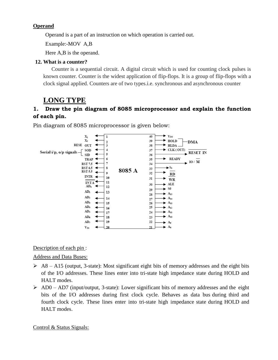#### **Operand**

Operand is a part of an instruction on which operation is carried out.

Example:-MOV A,B

Here A,B is the operand.

#### **12. What is a counter?**

 Counter is a sequential circuit. A digital circuit which is used for counting clock pulses is known counter. Counter is the widest application of flip-flops. It is a group of flip-flops with a clock signal applied. Counters are of two types.i.e. synchronous and asynchronous counter

# **LONG TYPE**

# **1. Draw the pin diagram of 8085 microprocessor and explain the function of each pin.**

Pin diagram of 8085 microprocessor is given below:



#### Description of each pin :

Address and Data Buses:

- $\geq$  A8 A15 (output, 3-state): Most significant eight bits of memory addresses and the eight bits of the I/O addresses. These lines enter into tri-state high impedance state during HOLD and HALT modes.
- $\triangleright$  AD0 AD7 (input/output, 3-state): Lower significant bits of memory addresses and the eight bits of the I/O addresses during first clock cycle. Behaves as data bus during third and fourth clock cycle. These lines enter into tri-state high impedance state during HOLD and HALT modes.

Control & Status Signals: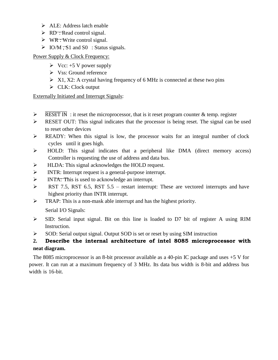- $\triangleright$  ALE: Address latch enable
- $\triangleright$  RD : Read control signal.
- $\triangleright$  WR : Write control signal.
- $\triangleright$  IO/M, S<sub>1</sub> and S<sub>0</sub> : Status signals.

#### Power Supply & Clock Frequency:

- $\triangleright$  Vcc: +5 V power supply
- Vss: Ground reference
- $\triangleright$  X1, X2: A crystal having frequency of 6 MHz is connected at these two pins
- $\triangleright$  CLK: Clock output

#### Externally Initiated and Interrupt Signals:

- $\triangleright$  RESET IN: it reset the microprocessor, that is it reset program counter & temp. register
- RESET OUT: This signal indicates that the processor is being reset. The signal can be used to reset other devices
- $\triangleright$  READY: When this signal is low, the processor waits for an integral number of clock cycles until it goes high.
- HOLD: This signal indicates that a peripheral like DMA (direct memory access) Controller is requesting the use of address and data bus.
- $\triangleright$  HLDA: This signal acknowledges the HOLD request.
- INTR: Interrupt request is a general-purpose interrupt.
- > INTA: This is used to acknowledge an interrupt.
- **RST 7.5, RST 6.5, RST 5.5 restart interrupt: These are vectored interrupts and have** highest priority than INTR interrupt.
- **FRAP:** This is a non-mask able interrupt and has the highest priority.

Serial I/O Signals:

- SID: Serial input signal. Bit on this line is loaded to D7 bit of register A using RIM Instruction.
- $\triangleright$  SOD: Serial output signal. Output SOD is set or reset by using SIM instruction

# **2. Describe the internal architecture of intel 8085 microprocessor with neat diagram.**

The 8085 microprocessor is an 8-bit processor available as a 40-pin IC package and uses +5 V for power. It can run at a maximum frequency of 3 MHz. Its data bus width is 8-bit and address bus width is 16-bit.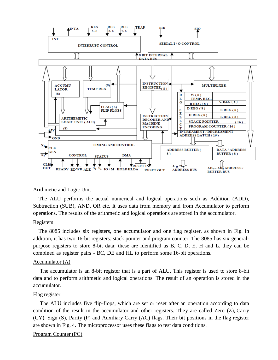

#### Arithmetic and Logic Unit

 The ALU performs the actual numerical and logical operations such as Addition (ADD), Subtraction (SUB), AND, OR etc. It uses data from memory and from Accumulator to perform operations. The results of the arithmetic and logical operations are stored in the accumulator.

#### **Registers**

 The 8085 includes six registers, one accumulator and one flag register, as shown in Fig. In addition, it has two 16-bit registers: stack pointer and program counter. The 8085 has six generalpurpose registers to store 8-bit data; these are identified as B, C, D, E, H and L. they can be combined as register pairs - BC, DE and HL to perform some 16-bit operations.

#### Accumulator (A)

 The accumulator is an 8-bit register that is a part of ALU. This register is used to store 8-bit data and to perform arithmetic and logical operations. The result of an operation is stored in the accumulator.

#### Flag register

 The ALU includes five flip-flops, which are set or reset after an operation according to data condition of the result in the accumulator and other registers. They are called Zero (Z), Carry (CY), Sign (S), Parity (P) and Auxiliary Carry (AC) flags. Their bit positions in the flag register are shown in Fig. 4. The microprocessor uses these flags to test data conditions.

#### Program Counter (PC)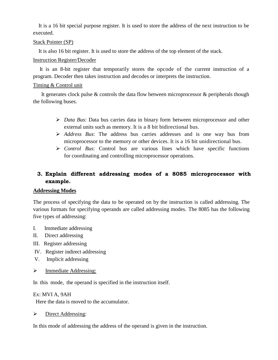It is a 16 bit special purpose register. It is used to store the address of the next instruction to be executed.

#### Stack Pointer (SP)

It is also 16 bit register. It is used to store the address of the top element of the stack.

#### Instruction Register/Decoder

 It is an 8-bit register that temporarily stores the opcode of the current instruction of a program. Decoder then takes instruction and decodes or interprets the instruction.

#### Timing & Control unit

 It generates clock pulse & controls the data flow between microprocessor & peripherals though the following buses.

- *Data Bus*: Data bus carries data in binary form between microprocessor and other external units such as memory. It is a 8 bit bidirectional bus.
- *Address Bus*: The address bus carries addresses and is one way bus from microprocessor to the memory or other devices. It is a 16 bit unidirectional bus.
- *Control Bus*: Control bus are various lines which have specific functions for coordinating and controlling microprocessor operations.

# **3. Explain different addressing modes of a 8085 microprocessor with example.**

#### **Addressing Modes**

The process of specifying the data to be operated on by the instruction is called addressing. The various formats for specifying operands are called addressing modes. The 8085 has the following five types of addressing:

- I. Immediate addressing
- II. Direct addressing
- III. Register addressing
- IV. Register indirect addressing
- V. Implicit addressing
- > Immediate Addressing:

In this mode, the operand is specified in the instruction itself.

#### Ex: MVI A, 9AH

Here the data is moved to the accumulator.

 $\triangleright$  Direct Addressing:

In this mode of addressing the address of the operand is given in the instruction.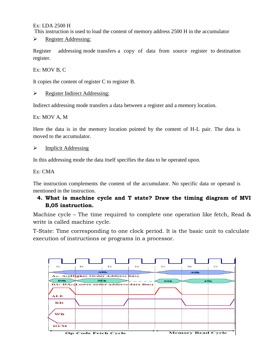Ex: LDA 2500 H

This instruction is used to load the content of memory address 2500 H in the accumulator

Pegister Addressing:

Register addressing mode transfers a copy of data from source register to destination register.

Ex: MOV B, C

It copies the content of register C to register B.

#### P Register Indirect Addressing:

Indirect addressing mode transfers a data between a register and a memory location.

Ex: MOV A, M

Here the data is in the memory location pointed by the content of H-L pair. The data is moved to the accumulator.

#### $\triangleright$  Implicit Addressing

In this addressing mode the data itself specifies the data to be operated upon.

#### Ex: CMA

The instruction complements the content of the accumulator. No specific data or operand is mentioned in the instruction.

## **4. What is machine cycle and T state? Draw the timing diagram of MVI B,05 instruction.**

Machine cycle – The time required to complete one operation like fetch, Read & write is called machine cycle.

T-State: Time corresponding to one clock period. It is the basic unit to calculate execution of instructions or programs in a processor.

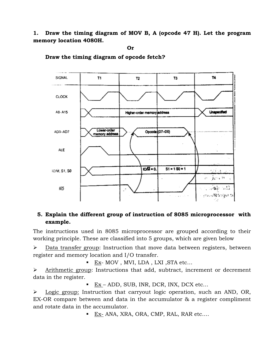**1. Draw the timing diagram of MOV B, A (opcode 47 H). Let the program memory location 4080H.**

**Or**



**Draw the timing diagram of opcode fetch?**

## **5. Explain the different group of instruction of 8085 microprocessor with example.**

The instructions used in 8085 microprocessor are grouped according to their working principle. These are classified into 5 groups, which are given below

 $\triangleright$  Data transfer group: Instruction that move data between registers, between register and memory location and I/O transfer.

 $\blacksquare$  <br><u>Ex</u>- MOV , MVI, LDA , LXI ,<br>STA etc...

 $\triangleright$  Arithmetic group: Instructions that add, subtract, increment or decrement data in the register.

■ Ex – ADD, SUB, INR, DCR, INX, DCX etc...

 $\geq$  Logic group: Instruction that carryout logic operation, such an AND, OR, EX-OR compare between and data in the accumulator & a register compliment and rotate data in the accumulator.

 $\blacksquare$  Ex- ANA, XRA, ORA, CMP, RAL, RAR etc....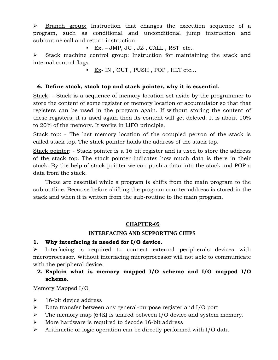$\triangleright$  Branch group: Instruction that changes the execution sequence of a program, such as conditional and unconditional jump instruction and subroutine call and return instruction.

 $\blacksquare$  Ex. – JMP, JC, JZ, CALL, RST etc..

 $\triangleright$  Stack machine control group: Instruction for maintaining the stack and internal control flags.

Ex**-** IN , OUT , PUSH , POP , HLT etc…

#### **6. Define stack, stack top and stack pointer, why it is essential.**

Stack: - Stack is a sequence of memory location set aside by the programmer to store the content of some register or memory location or accumulator so that that registers can be used in the program again. If without storing the content of these registers, it is used again then its content will get deleted. It is about 10% to 20% of the memory. It works in LIFO principle.

Stack top: - The last memory location of the occupied person of the stack is called stack top. The stack pointer holds the address of the stack top.

Stack pointer: - Stack pointer is a 16 bit register and is used to store the address of the stack top. The stack pointer indicates how much data is there in their stack. By the help of stack pointer we can push a data into the stack and POP a data from the stack.

These are essential while a program is shifts from the main program to the sub-outline. Because before shifting the program counter address is stored in the stack and when it is written from the sub-routine to the main program.

#### **CHAPTER-05**

#### **INTERFACING AND SUPPORTING CHIPS**

#### **1. Why interfacing is needed for I/O device.**

 $\triangleright$  Interfacing is required to connect external peripherals devices with microprocessor. Without interfacing microprocessor will not able to communicate with the peripheral device.

# **2. Explain what is memory mapped I/O scheme and I/O mapped I/O scheme.**

#### Memory Mapped I/O

- $\geq$  16-bit device address
- Data transfer between any general-purpose register and I/O port
- $\triangleright$  The memory map (64K) is shared between I/O device and system memory.
- $\triangleright$  More hardware is required to decode 16-bit address
- $\triangleright$  Arithmetic or logic operation can be directly performed with I/O data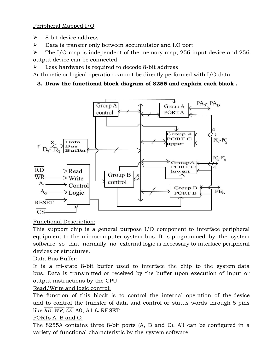Peripheral Mapped I/O

- $\geq$  8-bit device address
- Data is transfer only between accumulator and I.O port

 $\triangleright$  The I/O map is independent of the memory map; 256 input device and 256. output device can be connected

Less hardware is required to decode 8-bit address

Arithmetic or logical operation cannot be directly performed with I/O data

# **3. Draw the functional block diagram of 8255 and explain each blaok .**



# Functional Description:

This support chip is a general purpose I/O component to interface peripheral equipment to the microcomputer system bus. It is programmed by the system software so that normally no external logic is necessary to interface peripheral devices or structures.

# Data Bus Buffer:

It is a tri-state 8-bit buffer used to interface the chip to the system data bus. Data is transmitted or received by the buffer upon execution of input or output instructions by the CPU.

# Read/Write and logic control:

The function of this block is to control the internal operation of the device and to control the transfer of data and control or status words through 5 pins like  $\overline{RD}$ ,  $\overline{WR}$ ,  $\overline{CS}$ , A0, A1 & RESET

#### PORTs A, B and C:

The 8255A contains three 8-bit ports (A, B and C). All can be configured in a variety of functional characteristic by the system software.